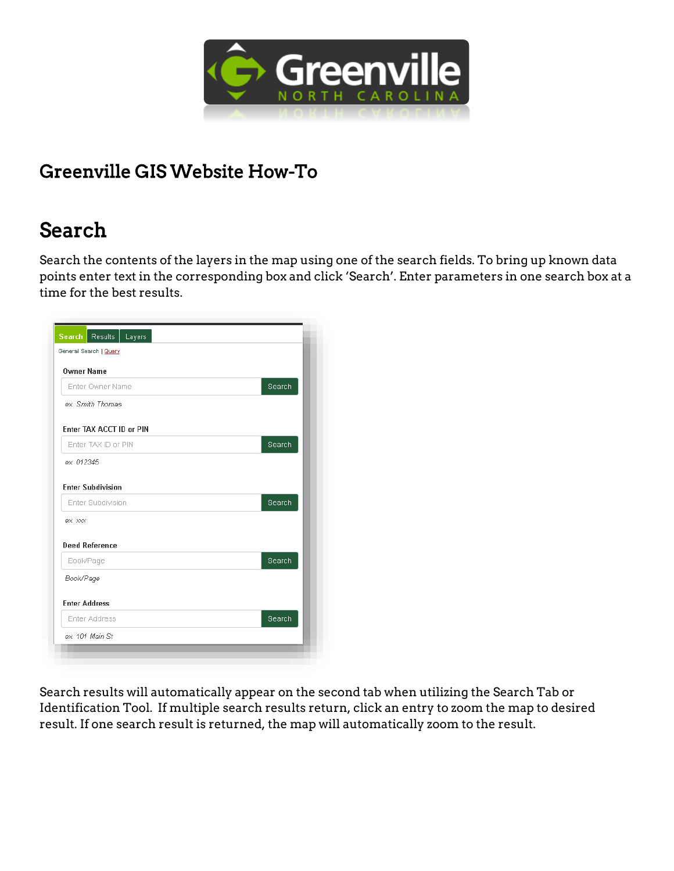

#### Greenville GIS Website How-To

# Search

Search the contents of the layers in the map using one of the search fields. To bring up known data points enter text in the corresponding box and click 'Search'. Enter parameters in one search box at a time for the best results.

| General Search   Query   |        |
|--------------------------|--------|
| <b>Owner Name</b>        |        |
| Enter Owner Name         | Search |
| ex. Smith Thomas         |        |
| Enter TAX ACCT ID or PIN |        |
| Enter TAX ID or PIN      | Search |
| ex. 012345               |        |
|                          |        |
| <b>Enter Subdivision</b> |        |
| Enter Subdivision        | Search |
| ex. xxx                  |        |
| <b>Deed Reference</b>    |        |
| Book/Page                | Search |
| Book/Page                |        |
|                          |        |
| <b>Enter Address</b>     |        |
| Enter Address            | Search |
|                          |        |

Search results will automatically appear on the second tab when utilizing the Search Tab or Identification Tool. If multiple search results return, click an entry to zoom the map to desired result. If one search result is returned, the map will automatically zoom to the result.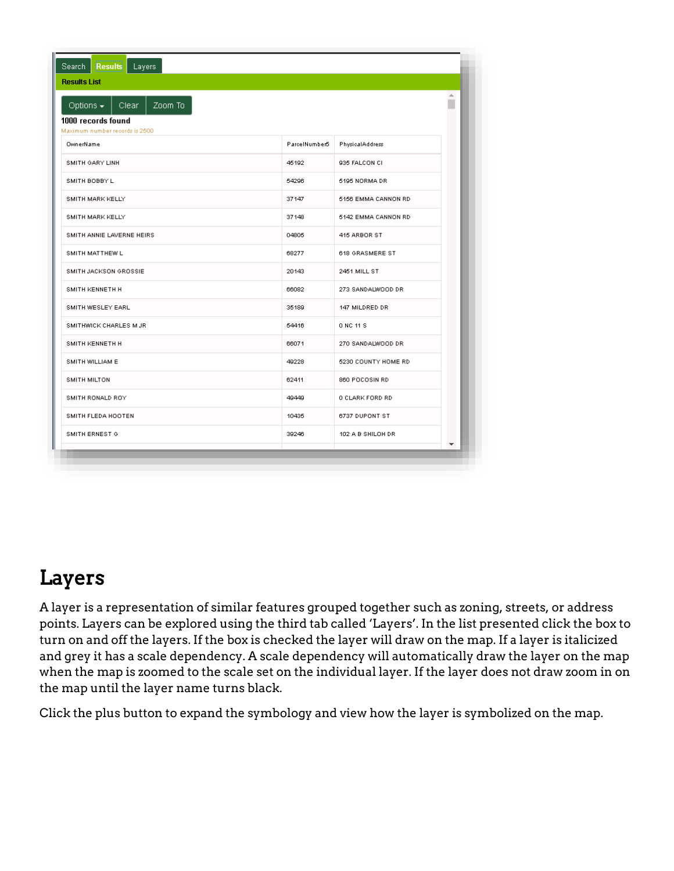| <b>Results</b><br>Search<br>Layers<br><b>Results List</b>                                   |               |                     |             |
|---------------------------------------------------------------------------------------------|---------------|---------------------|-------------|
| Zoom To<br>Options $\sim$<br>Clear.<br>1000 records found<br>Maximum number records is 2500 |               |                     | $\triangle$ |
| OwnerName                                                                                   | ParcelNumber5 | PhysicalAddress     |             |
| SMITH GARY LINH                                                                             | 45192         | 935 FALCON CI       |             |
| SMITH BOBBY L                                                                               | 54296         | 5195 NORMA DR       |             |
| SMITH MARK KELLY                                                                            | 37147         | 5156 EMMA CANNON RD |             |
| SMITH MARK KELLY                                                                            | 37148         | 5142 EMMA CANNON RD |             |
| SMITH ANNIE LAVERNE HEIRS                                                                   | 04805         | 415 ARBOR ST        |             |
| SMITH MATTHEW L                                                                             | 68277         | 618 GRASMERE ST     |             |
| SMITH JACKSON GROSSIE                                                                       | 20143         | 2451 MILL ST        |             |
| SMITH KENNETH H                                                                             | 66082         | 273 SANDALWOOD DR   |             |
| SMITH WESLEY EARL                                                                           | 35189         | 147 MILDRED DR      |             |
| SMITHWICK CHARLES M JR                                                                      | 54416         | 0 NC 11 S           |             |
| SMITH KENNETH H                                                                             | 66071         | 270 SANDALWOOD DR   |             |
| SMITH WILLIAM E                                                                             | 49228         | 5230 COUNTY HOME RD |             |
| SMITH MILTON                                                                                | 62411         | 860 POCOSIN RD      |             |
| SMITH RONALD ROY                                                                            | 49449         | O CLARK FORD RD     |             |
| SMITH FLEDA HOOTEN                                                                          | 10435         | 6737 DUPONT ST      |             |
|                                                                                             | 39246         | 102 A B SHILOH DR   |             |

### Layers

A layer is a representation of similar features grouped together such as zoning, streets, or address points. Layers can be explored using the third tab called 'Layers'. In the list presented click the box to turn on and off the layers. If the box is checked the layer will draw on the map. If a layer is italicized and grey it has a scale dependency. A scale dependency will automatically draw the layer on the map when the map is zoomed to the scale set on the individual layer. If the layer does not draw zoom in on the map until the layer name turns black.

Click the plus button to expand the symbology and view how the layer is symbolized on the map.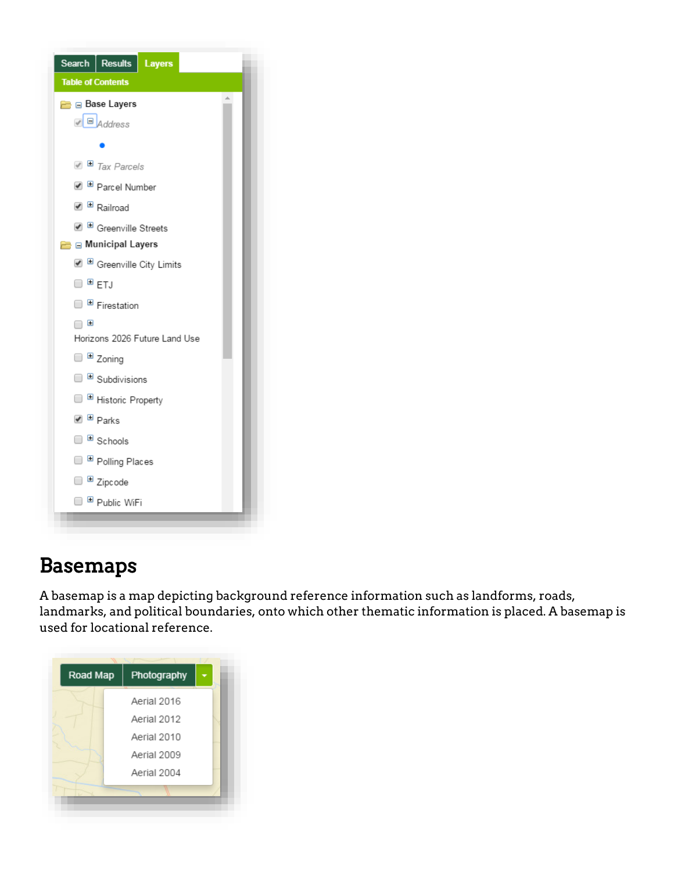

# Basemaps

A basemap is a map depicting background reference information such as landforms, roads, landmarks, and political boundaries, onto which other thematic information is placed. A basemap is used for locational reference.

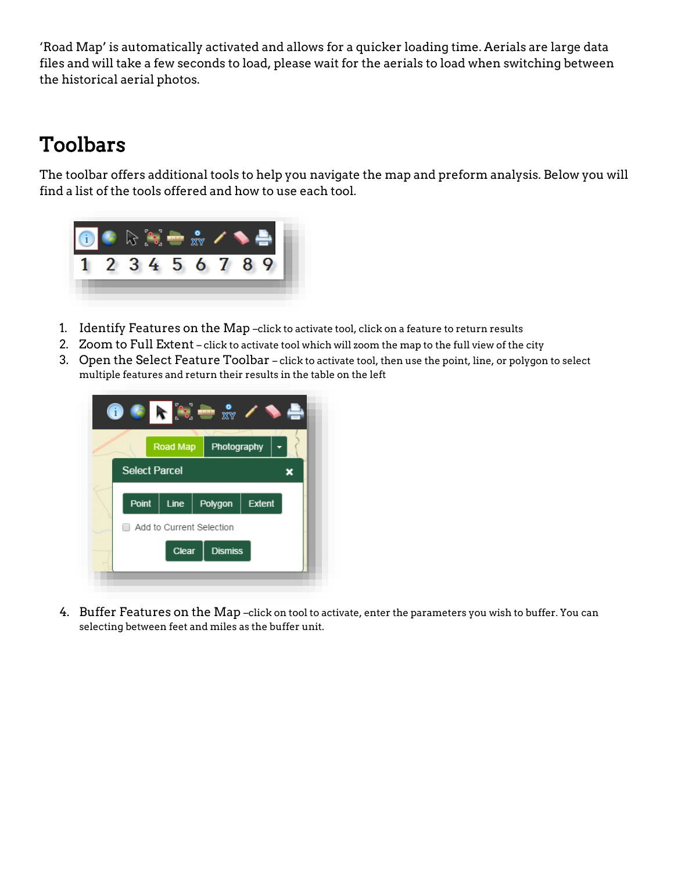'Road Map' is automatically activated and allows for a quicker loading time. Aerials are large data files and will take a few seconds to load, please wait for the aerials to load when switching between the historical aerial photos.

# Toolbars

The toolbar offers additional tools to help you navigate the map and preform analysis. Below you will find a list of the tools offered and how to use each tool.



- 1. Identify Features on the Map –click to activate tool, click on a feature to return results
- 2. Zoom to Full Extent click to activate tool which will zoom the map to the full view of the city
- 3. Open the Select Feature Toolbar click to activate tool, then use the point, line, or polygon to select multiple features and return their results in the table on the left



4. Buffer Features on the Map –click on tool to activate, enter the parameters you wish to buffer. You can selecting between feet and miles as the buffer unit.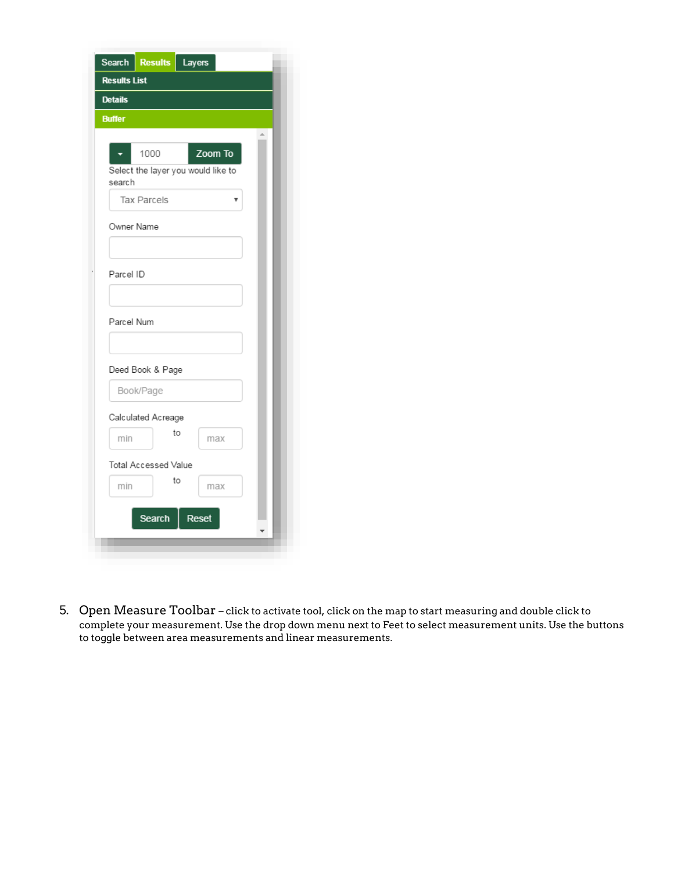| Search                                               | <b>Results</b> | Layers  |  |
|------------------------------------------------------|----------------|---------|--|
| <b>Results List</b>                                  |                |         |  |
| <b>Details</b>                                       |                |         |  |
| <b>Buffer</b>                                        |                |         |  |
| 1000<br>Select the layer you would like to<br>search |                | Zoom To |  |
| <b>Tax Parcels</b>                                   |                |         |  |
| Owner Name                                           |                |         |  |
| Parcel ID                                            |                |         |  |
| Parcel Num                                           |                |         |  |
| Deed Book & Page                                     |                |         |  |
| Book/Page                                            |                |         |  |
| Calculated Acreage                                   |                |         |  |
| min                                                  | to             | max     |  |
| Total Accessed Value<br>min                          | to             | max     |  |
| Search                                               |                | Reset   |  |
|                                                      |                |         |  |

5. Open Measure Toolbar – click to activate tool, click on the map to start measuring and double click to complete your measurement. Use the drop down menu next to Feet to select measurement units. Use the buttons to toggle between area measurements and linear measurements.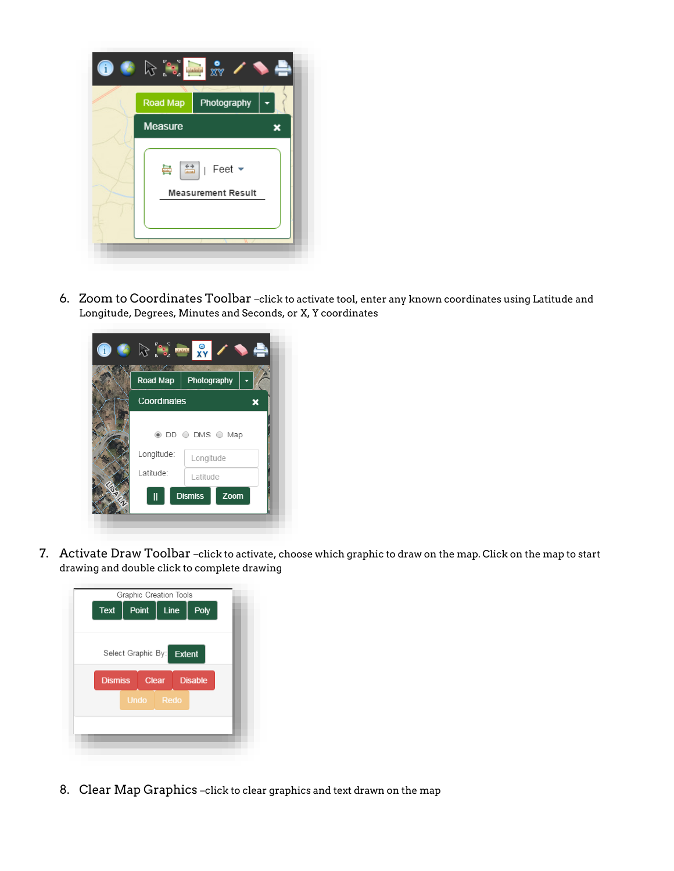

6. Zoom to Coordinates Toolbar –click to activate tool, enter any known coordinates using Latitude and Longitude, Degrees, Minutes and Seconds, or X, Y coordinates

| Road Map    | Photography                                                       |
|-------------|-------------------------------------------------------------------|
| Coordinates | ÷,                                                                |
|             | $\circledcirc$ DD $\circlearrowright$ DMS $\circlearrowright$ Map |
| Longitude:  | Longitude                                                         |
| Latitude:   | Latitude                                                          |
|             |                                                                   |

7. Activate Draw Toolbar –click to activate, choose which graphic to draw on the map. Click on the map to start drawing and double click to complete drawing

| Graphic Creation Tools                           |
|--------------------------------------------------|
| Point<br><b>Text</b><br>Line<br>Poly             |
|                                                  |
|                                                  |
| Select Graphic By: Extent                        |
|                                                  |
| <b>Dismiss</b><br><b>Clear</b><br><b>Disable</b> |
| Undo Redo                                        |
|                                                  |
|                                                  |
|                                                  |

8. Clear Map Graphics –click to clear graphics and text drawn on the map